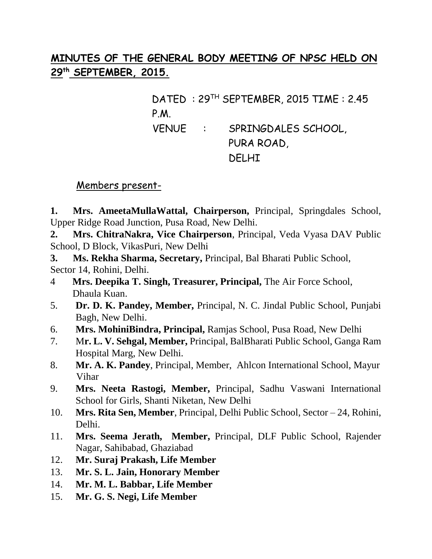# **MINUTES OF THE GENERAL BODY MEETING OF NPSC HELD ON 29th SEPTEMBER, 2015.**

DATED : 29TH SEPTEMBER, 2015 TIME : 2.45 P.M. VENUE : SPRINGDALES SCHOOL, PURA ROAD, DELHI

## Members present-

**1. Mrs. AmeetaMullaWattal, Chairperson,** Principal, Springdales School, Upper Ridge Road Junction, Pusa Road, New Delhi.

**2. Mrs. ChitraNakra, Vice Chairperson**, Principal, Veda Vyasa DAV Public School, D Block, VikasPuri, New Delhi

**3. Ms. Rekha Sharma, Secretary,** Principal, Bal Bharati Public School, Sector 14, Rohini, Delhi.

- 4 **Mrs. Deepika T. Singh, Treasurer, Principal,** The Air Force School, Dhaula Kuan.
- 5. **Dr. D. K. Pandey, Member,** Principal, N. C. Jindal Public School, Punjabi Bagh, New Delhi.
- 6. **Mrs. MohiniBindra, Principal,** Ramjas School, Pusa Road, New Delhi
- 7. M**r. L. V. Sehgal, Member,** Principal, BalBharati Public School, Ganga Ram Hospital Marg, New Delhi.
- 8. **Mr. A. K. Pandey**, Principal, Member, Ahlcon International School, Mayur Vihar
- 9. **Mrs. Neeta Rastogi, Member,** Principal, Sadhu Vaswani International School for Girls, Shanti Niketan, New Delhi
- 10. **Mrs. Rita Sen, Member**, Principal, Delhi Public School, Sector 24, Rohini, Delhi.
- 11. **Mrs. Seema Jerath, Member,** Principal, DLF Public School, Rajender Nagar, Sahibabad, Ghaziabad
- 12. **Mr. Suraj Prakash, Life Member**
- 13. **Mr. S. L. Jain, Honorary Member**
- 14. **Mr. M. L. Babbar, Life Member**
- 15. **Mr. G. S. Negi, Life Member**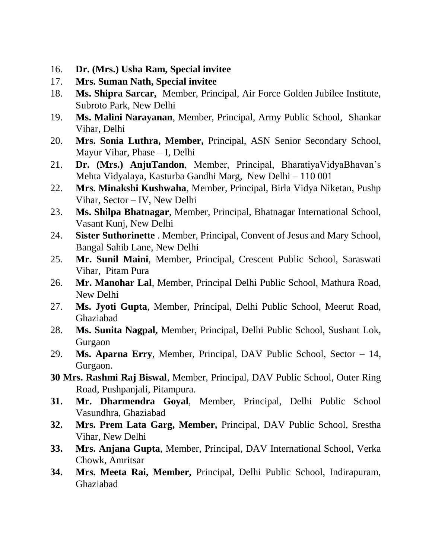- 16. **Dr. (Mrs.) Usha Ram, Special invitee**
- 17. **Mrs. Suman Nath, Special invitee**
- 18. **Ms. Shipra Sarcar,** Member, Principal, Air Force Golden Jubilee Institute, Subroto Park, New Delhi
- 19. **Ms. Malini Narayanan**, Member, Principal, Army Public School, Shankar Vihar, Delhi
- 20. **Mrs. Sonia Luthra, Member,** Principal, ASN Senior Secondary School, Mayur Vihar, Phase – I, Delhi
- 21. **Dr. (Mrs.) AnjuTandon**, Member, Principal, BharatiyaVidyaBhavan's Mehta Vidyalaya, Kasturba Gandhi Marg, New Delhi – 110 001
- 22. **Mrs. Minakshi Kushwaha**, Member, Principal, Birla Vidya Niketan, Pushp Vihar, Sector – IV, New Delhi
- 23. **Ms. Shilpa Bhatnagar**, Member, Principal, Bhatnagar International School, Vasant Kunj, New Delhi
- 24. **Sister Suthorinette** . Member, Principal, Convent of Jesus and Mary School, Bangal Sahib Lane, New Delhi
- 25. **Mr. Sunil Maini**, Member, Principal, Crescent Public School, Saraswati Vihar, Pitam Pura
- 26. **Mr. Manohar Lal**, Member, Principal Delhi Public School, Mathura Road, New Delhi
- 27. **Ms. Jyoti Gupta**, Member, Principal, Delhi Public School, Meerut Road, Ghaziabad
- 28. **Ms. Sunita Nagpal,** Member, Principal, Delhi Public School, Sushant Lok, Gurgaon
- 29. **Ms. Aparna Erry**, Member, Principal, DAV Public School, Sector 14, Gurgaon.
- **30 Mrs. Rashmi Raj Biswal**, Member, Principal, DAV Public School, Outer Ring Road, Pushpanjali, Pitampura.
- **31. Mr. Dharmendra Goyal**, Member, Principal, Delhi Public School Vasundhra, Ghaziabad
- **32. Mrs. Prem Lata Garg, Member,** Principal, DAV Public School, Srestha Vihar, New Delhi
- **33. Mrs. Anjana Gupta**, Member, Principal, DAV International School, Verka Chowk, Amritsar
- **34. Mrs. Meeta Rai, Member,** Principal, Delhi Public School, Indirapuram, Ghaziabad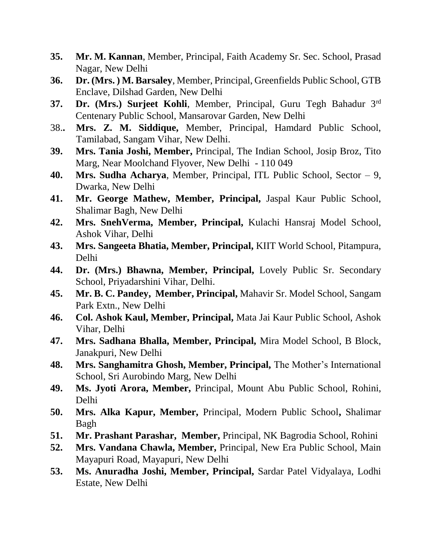- **35. Mr. M. Kannan**, Member, Principal, Faith Academy Sr. Sec. School, Prasad Nagar, New Delhi
- **36. Dr. (Mrs. ) M. Barsaley**, Member, Principal, Greenfields Public School, GTB Enclave, Dilshad Garden, New Delhi
- **37. Dr. (Mrs.) Surjeet Kohli**, Member, Principal, Guru Tegh Bahadur 3rd Centenary Public School, Mansarovar Garden, New Delhi
- 38.**. Mrs. Z. M. Siddique,** Member, Principal, Hamdard Public School, Tamilabad, Sangam Vihar, New Delhi.
- **39. Mrs. Tania Joshi, Member,** Principal, The Indian School, Josip Broz, Tito Marg, Near Moolchand Flyover, New Delhi - 110 049
- **40. Mrs. Sudha Acharya**, Member, Principal, ITL Public School, Sector 9, Dwarka, New Delhi
- **41. Mr. George Mathew, Member, Principal,** Jaspal Kaur Public School, Shalimar Bagh, New Delhi
- **42. Mrs. SnehVerma, Member, Principal,** Kulachi Hansraj Model School, Ashok Vihar, Delhi
- **43. Mrs. Sangeeta Bhatia, Member, Principal,** KIIT World School, Pitampura, Delhi
- **44. Dr. (Mrs.) Bhawna, Member, Principal,** Lovely Public Sr. Secondary School, Priyadarshini Vihar, Delhi.
- **45. Mr. B. C. Pandey, Member, Principal,** Mahavir Sr. Model School, Sangam Park Extn., New Delhi
- **46. Col. Ashok Kaul, Member, Principal,** Mata Jai Kaur Public School, Ashok Vihar, Delhi
- **47. Mrs. Sadhana Bhalla, Member, Principal,** Mira Model School, B Block, Janakpuri, New Delhi
- **48. Mrs. Sanghamitra Ghosh, Member, Principal,** The Mother's International School, Sri Aurobindo Marg, New Delhi
- **49. Ms. Jyoti Arora, Member,** Principal, Mount Abu Public School, Rohini, Delhi
- **50. Mrs. Alka Kapur, Member,** Principal, Modern Public School**,** Shalimar Bagh
- **51. Mr. Prashant Parashar, Member,** Principal, NK Bagrodia School, Rohini
- **52. Mrs. Vandana Chawla, Member,** Principal, New Era Public School, Main Mayapuri Road, Mayapuri, New Delhi
- **53. Ms. Anuradha Joshi, Member, Principal,** Sardar Patel Vidyalaya, Lodhi Estate, New Delhi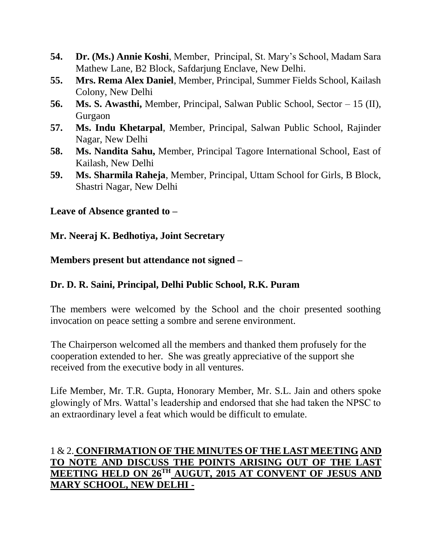- **54. Dr. (Ms.) Annie Koshi**, Member, Principal, St. Mary's School, Madam Sara Mathew Lane, B2 Block, Safdarjung Enclave, New Delhi.
- **55. Mrs. Rema Alex Daniel**, Member, Principal, Summer Fields School, Kailash Colony, New Delhi
- **56. Ms. S. Awasthi,** Member, Principal, Salwan Public School, Sector 15 (II), Gurgaon
- **57. Ms. Indu Khetarpal**, Member, Principal, Salwan Public School, Rajinder Nagar, New Delhi
- **58. Ms. Nandita Sahu,** Member, Principal Tagore International School, East of Kailash, New Delhi
- **59. Ms. Sharmila Raheja**, Member, Principal, Uttam School for Girls, B Block, Shastri Nagar, New Delhi

## **Leave of Absence granted to –**

#### **Mr. Neeraj K. Bedhotiya, Joint Secretary**

#### **Members present but attendance not signed –**

## **Dr. D. R. Saini, Principal, Delhi Public School, R.K. Puram**

The members were welcomed by the School and the choir presented soothing invocation on peace setting a sombre and serene environment.

The Chairperson welcomed all the members and thanked them profusely for the cooperation extended to her. She was greatly appreciative of the support she received from the executive body in all ventures.

Life Member, Mr. T.R. Gupta, Honorary Member, Mr. S.L. Jain and others spoke glowingly of Mrs. Wattal's leadership and endorsed that she had taken the NPSC to an extraordinary level a feat which would be difficult to emulate.

## 1 & 2. **CONFIRMATION OF THE MINUTES OF THE LAST MEETING AND TO NOTE AND DISCUSS THE POINTS ARISING OUT OF THE LAST MEETING HELD ON 26TH AUGUT, 2015 AT CONVENT OF JESUS AND MARY SCHOOL, NEW DELHI -**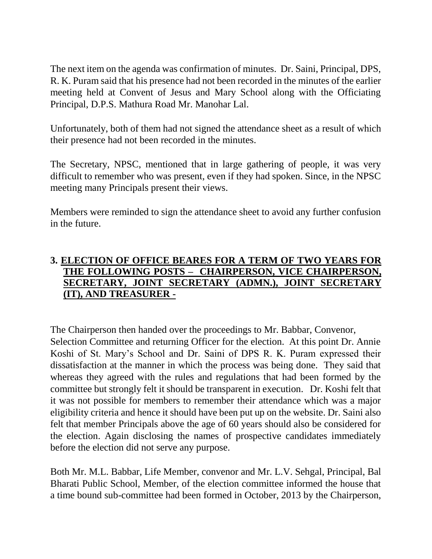The next item on the agenda was confirmation of minutes. Dr. Saini, Principal, DPS, R. K. Puram said that his presence had not been recorded in the minutes of the earlier meeting held at Convent of Jesus and Mary School along with the Officiating Principal, D.P.S. Mathura Road Mr. Manohar Lal.

Unfortunately, both of them had not signed the attendance sheet as a result of which their presence had not been recorded in the minutes.

The Secretary, NPSC, mentioned that in large gathering of people, it was very difficult to remember who was present, even if they had spoken. Since, in the NPSC meeting many Principals present their views.

Members were reminded to sign the attendance sheet to avoid any further confusion in the future.

## **3. ELECTION OF OFFICE BEARES FOR A TERM OF TWO YEARS FOR THE FOLLOWING POSTS – CHAIRPERSON, VICE CHAIRPERSON, SECRETARY, JOINT SECRETARY (ADMN.), JOINT SECRETARY (IT), AND TREASURER -**

The Chairperson then handed over the proceedings to Mr. Babbar, Convenor,

Selection Committee and returning Officer for the election. At this point Dr. Annie Koshi of St. Mary's School and Dr. Saini of DPS R. K. Puram expressed their dissatisfaction at the manner in which the process was being done. They said that whereas they agreed with the rules and regulations that had been formed by the committee but strongly felt it should be transparent in execution. Dr. Koshi felt that it was not possible for members to remember their attendance which was a major eligibility criteria and hence it should have been put up on the website. Dr. Saini also felt that member Principals above the age of 60 years should also be considered for the election. Again disclosing the names of prospective candidates immediately before the election did not serve any purpose.

Both Mr. M.L. Babbar, Life Member, convenor and Mr. L.V. Sehgal, Principal, Bal Bharati Public School, Member, of the election committee informed the house that a time bound sub-committee had been formed in October, 2013 by the Chairperson,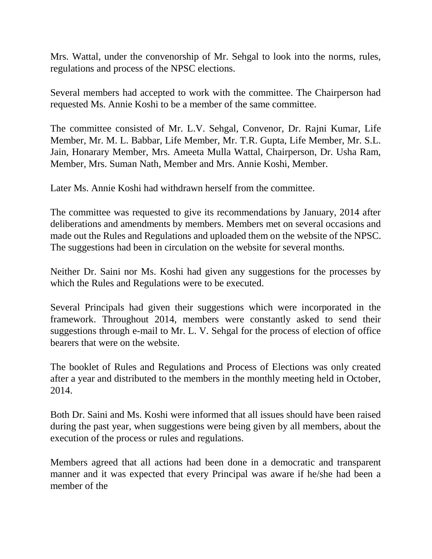Mrs. Wattal, under the convenorship of Mr. Sehgal to look into the norms, rules, regulations and process of the NPSC elections.

Several members had accepted to work with the committee. The Chairperson had requested Ms. Annie Koshi to be a member of the same committee.

The committee consisted of Mr. L.V. Sehgal, Convenor, Dr. Rajni Kumar, Life Member, Mr. M. L. Babbar, Life Member, Mr. T.R. Gupta, Life Member, Mr. S.L. Jain, Honarary Member, Mrs. Ameeta Mulla Wattal, Chairperson, Dr. Usha Ram, Member, Mrs. Suman Nath, Member and Mrs. Annie Koshi, Member.

Later Ms. Annie Koshi had withdrawn herself from the committee.

The committee was requested to give its recommendations by January, 2014 after deliberations and amendments by members. Members met on several occasions and made out the Rules and Regulations and uploaded them on the website of the NPSC. The suggestions had been in circulation on the website for several months.

Neither Dr. Saini nor Ms. Koshi had given any suggestions for the processes by which the Rules and Regulations were to be executed.

Several Principals had given their suggestions which were incorporated in the framework. Throughout 2014, members were constantly asked to send their suggestions through e-mail to Mr. L. V. Sehgal for the process of election of office bearers that were on the website.

The booklet of Rules and Regulations and Process of Elections was only created after a year and distributed to the members in the monthly meeting held in October, 2014.

Both Dr. Saini and Ms. Koshi were informed that all issues should have been raised during the past year, when suggestions were being given by all members, about the execution of the process or rules and regulations.

Members agreed that all actions had been done in a democratic and transparent manner and it was expected that every Principal was aware if he/she had been a member of the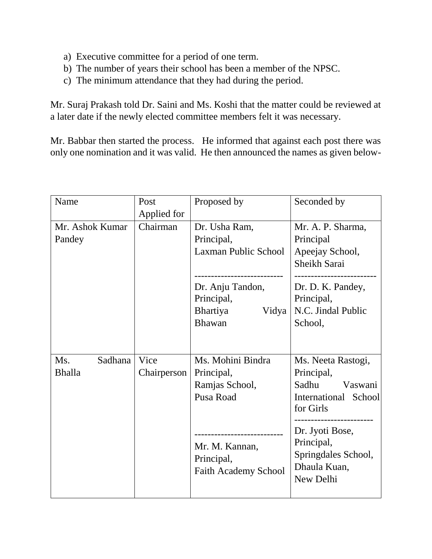- a) Executive committee for a period of one term.
- b) The number of years their school has been a member of the NPSC.
- c) The minimum attendance that they had during the period.

Mr. Suraj Prakash told Dr. Saini and Ms. Koshi that the matter could be reviewed at a later date if the newly elected committee members felt it was necessary.

Mr. Babbar then started the process. He informed that against each post there was only one nomination and it was valid. He then announced the names as given below-

| Name            | Post        | Proposed by                 | Seconded by                       |
|-----------------|-------------|-----------------------------|-----------------------------------|
|                 | Applied for |                             |                                   |
| Mr. Ashok Kumar | Chairman    | Dr. Usha Ram,               | Mr. A. P. Sharma,                 |
| Pandey          |             | Principal,                  | Principal                         |
|                 |             | <b>Laxman Public School</b> | Apeejay School,                   |
|                 |             |                             | Sheikh Sarai                      |
|                 |             |                             |                                   |
|                 |             | Dr. Anju Tandon,            | Dr. D. K. Pandey,                 |
|                 |             | Principal,                  | Principal,                        |
|                 |             | Bhartiya<br>Vidya           | N.C. Jindal Public                |
|                 |             | <b>Bhawan</b>               | School,                           |
|                 |             |                             |                                   |
|                 |             |                             |                                   |
| Ms.<br>Sadhana  | Vice        | Ms. Mohini Bindra           | Ms. Neeta Rastogi,                |
| <b>Bhalla</b>   | Chairperson | Principal,                  | Principal,                        |
|                 |             | Ramjas School,              | Sadhu<br>Vaswani                  |
|                 |             | Pusa Road                   | International School<br>for Girls |
|                 |             |                             | -------------------               |
|                 |             |                             | Dr. Jyoti Bose,                   |
|                 |             | Mr. M. Kannan,              | Principal,                        |
|                 |             | Principal,                  | Springdales School,               |
|                 |             | <b>Faith Academy School</b> | Dhaula Kuan,                      |
|                 |             |                             | New Delhi                         |
|                 |             |                             |                                   |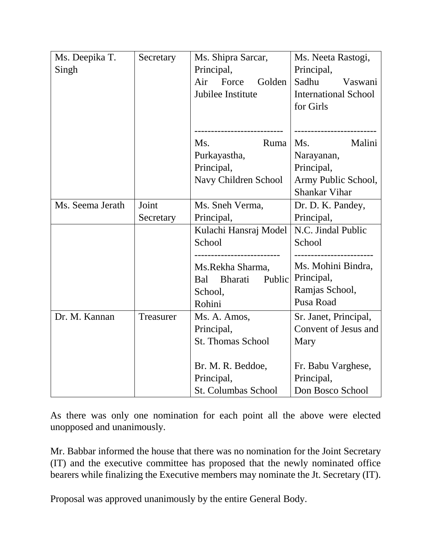| Ms. Deepika T.   | Secretary | Ms. Shipra Sarcar,         | Ms. Neeta Rastogi,          |
|------------------|-----------|----------------------------|-----------------------------|
| Singh            |           | Principal,                 | Principal,                  |
|                  |           | Golden<br>Air<br>Force     | Sadhu<br>Vaswani            |
|                  |           | Jubilee Institute          | <b>International School</b> |
|                  |           |                            | for Girls                   |
|                  |           |                            |                             |
|                  |           |                            |                             |
|                  |           | Ruma<br>Ms.                | Malini<br>Ms.               |
|                  |           | Purkayastha,               | Narayanan,                  |
|                  |           | Principal,                 | Principal,                  |
|                  |           | Navy Children School       | Army Public School,         |
|                  |           |                            | <b>Shankar Vihar</b>        |
| Ms. Seema Jerath | Joint     | Ms. Sneh Verma,            | Dr. D. K. Pandey,           |
|                  | Secretary | Principal,                 | Principal,                  |
|                  |           | Kulachi Hansraj Model      | N.C. Jindal Public          |
|                  |           | School                     | School                      |
|                  |           | ---------------------      | ------------------          |
|                  |           | Ms.Rekha Sharma,           | Ms. Mohini Bindra,          |
|                  |           | Bharati<br>Bal<br>Public   | Principal,                  |
|                  |           | School,                    | Ramjas School,<br>Pusa Road |
|                  |           | Rohini                     |                             |
| Dr. M. Kannan    | Treasurer | Ms. A. Amos,               | Sr. Janet, Principal,       |
|                  |           | Principal,                 | Convent of Jesus and        |
|                  |           | <b>St. Thomas School</b>   | Mary                        |
|                  |           |                            |                             |
|                  |           | Br. M. R. Beddoe,          | Fr. Babu Varghese,          |
|                  |           | Principal,                 | Principal,                  |
|                  |           | <b>St. Columbas School</b> | Don Bosco School            |

As there was only one nomination for each point all the above were elected unopposed and unanimously.

Mr. Babbar informed the house that there was no nomination for the Joint Secretary (IT) and the executive committee has proposed that the newly nominated office bearers while finalizing the Executive members may nominate the Jt. Secretary (IT).

Proposal was approved unanimously by the entire General Body.